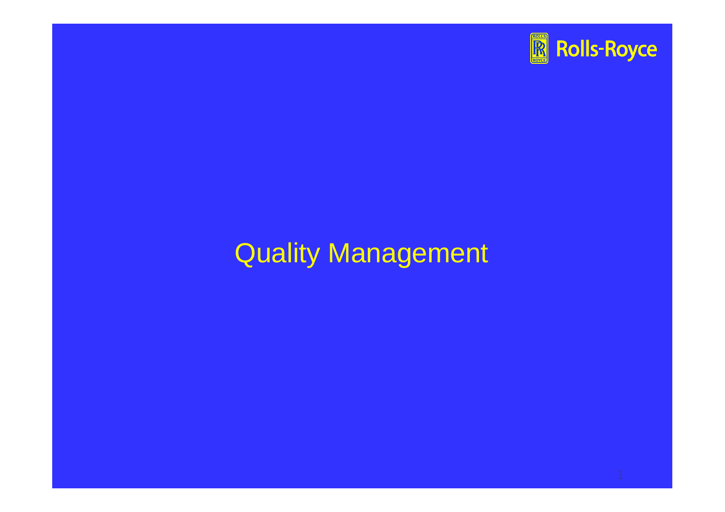

# Quality Management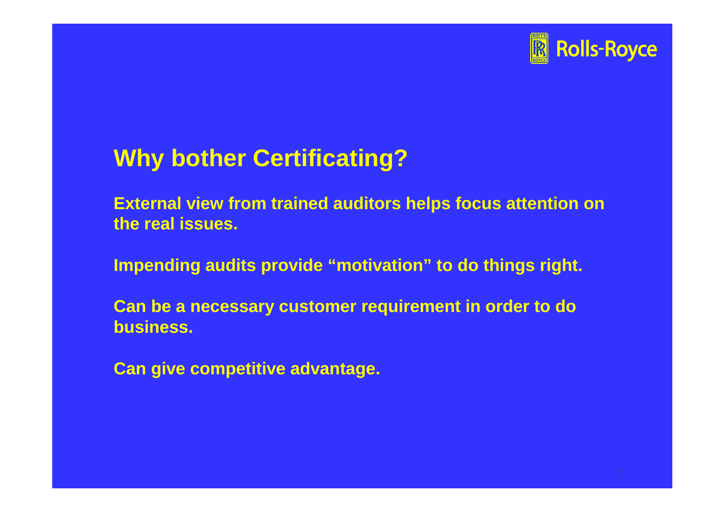

#### **Why bother Certificating?**

**External view from trained auditors helps focus attention on the real issues.**

**Impending audits provide "motivation" to do things right.**

**Can be a necessary customer requirement in order to do business.**

**Can give competitive advantage.**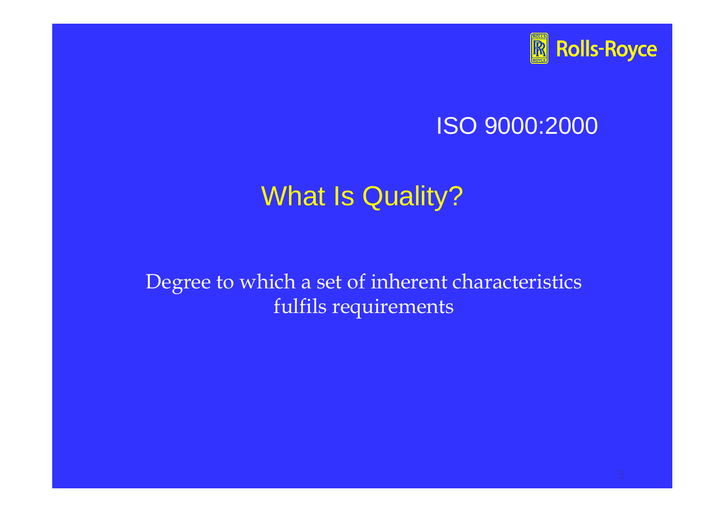

#### ISO 9000:2000

## What Is Quality?

Degree to which a set of inherent characteristics fulfils requirements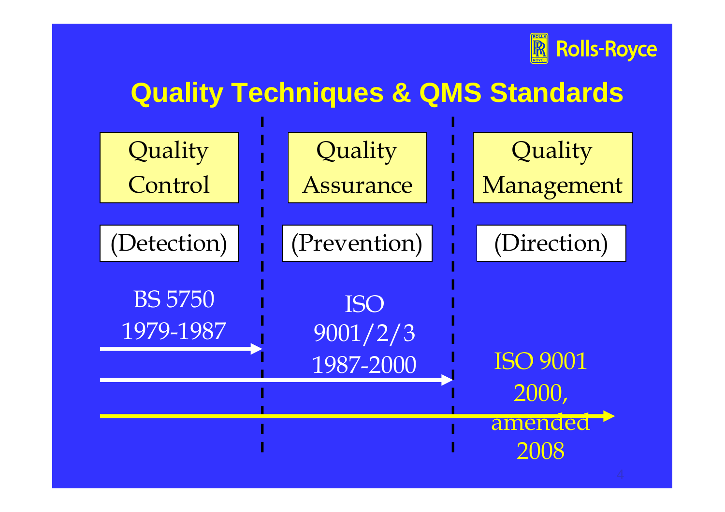

## **Quality Techniques & QMS Standards**

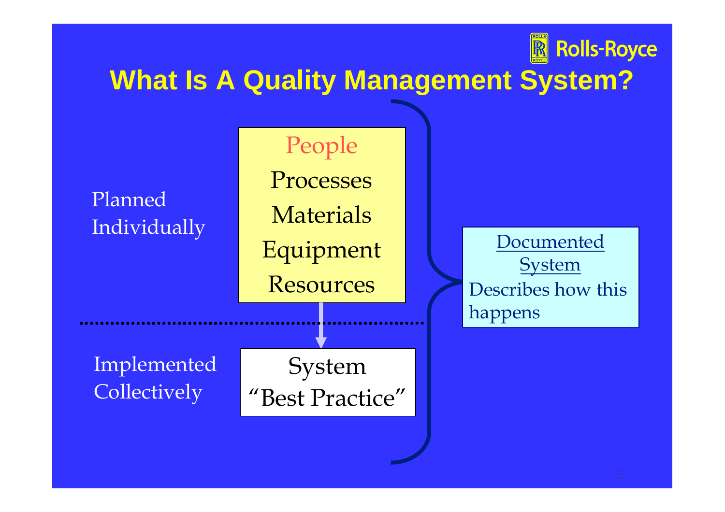#### **What Is A Quality Management System?**

#### People Processes **Materials** Equipment **Resources** Planned Individually System "Best Practice" Implemented **Collectively Documented System** Describes how this happens

**R** Rolls-Royce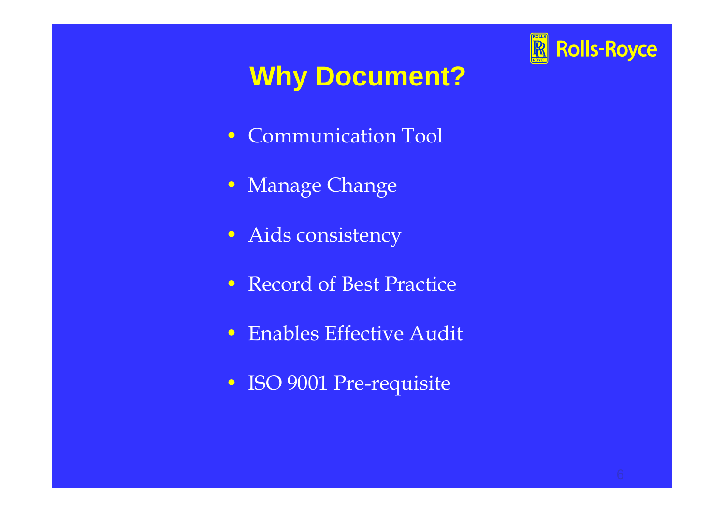# **Rolls-Royce**

## **Why Document?**

- Communication Tool
- Manage Change
- Aids consistency
- Record of Best Practice
- Enables Effective Audit
- ISO 9001 Pre-requisite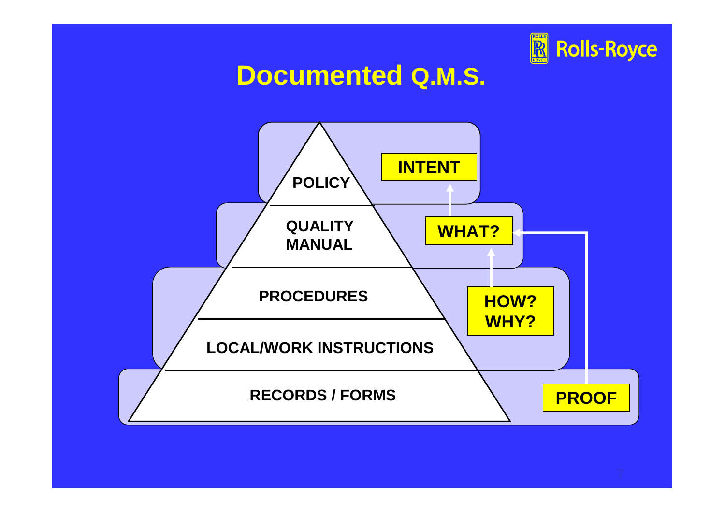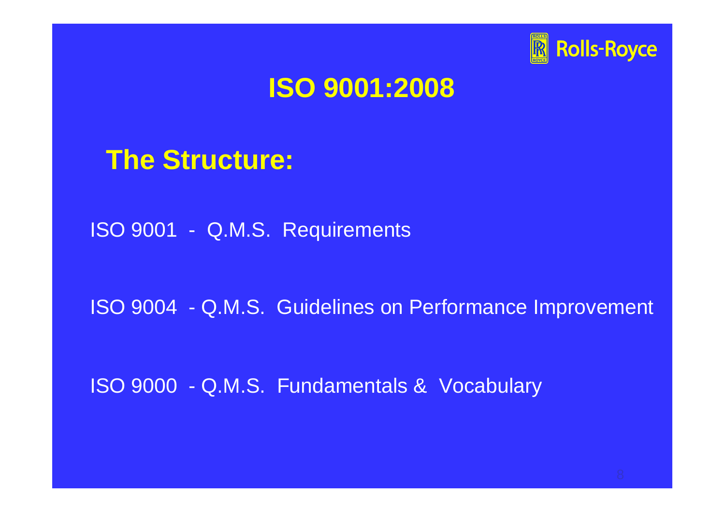

#### **ISO 9001:2008**

#### **The Structure:**

ISO 9001 - Q.M.S. Requirements

ISO 9004 - Q.M.S. Guidelines on Performance Improvement

ISO 9000 - Q.M.S. Fundamentals & Vocabulary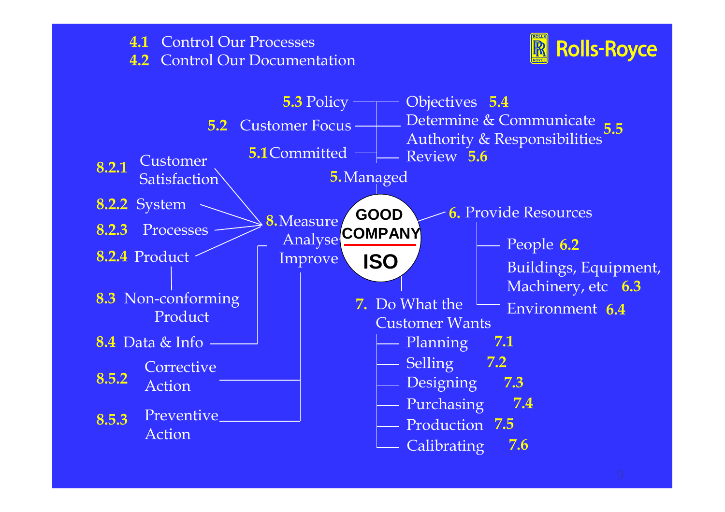#### Control Our Processes **4.1** Control Our Documentation **4.2**



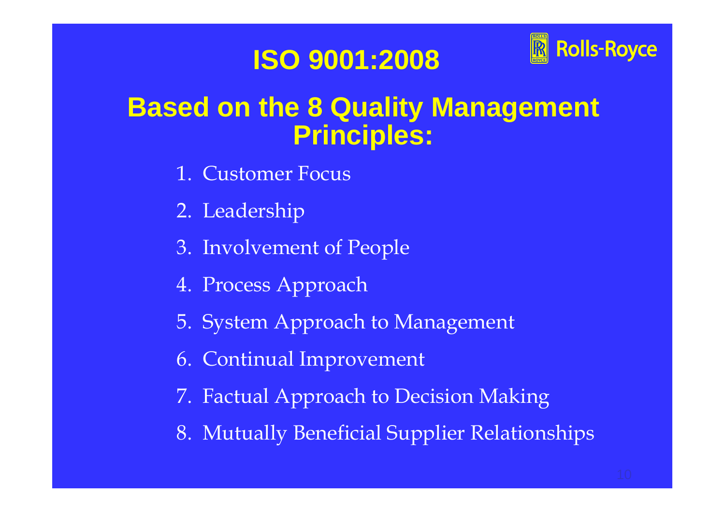### **ISO 9001:2008**



## **Based on the 8 Quality Management Principles:**

- 1. Customer Focus
- 2. Leadership
- 3. Involvement of People
- 4. Process Approach
- 5. System Approach to Management
- 6. Continual Improvement
- 7. Factual Approach to Decision Making
- 8. Mutually Beneficial Supplier Relationships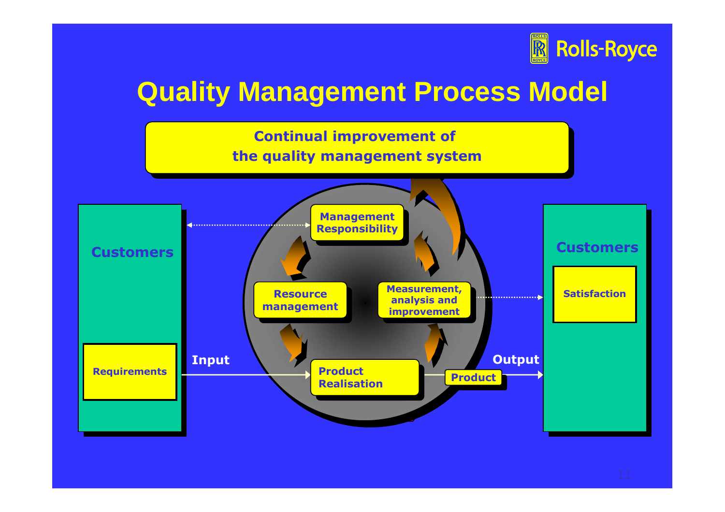

## **Quality Management Process Model**

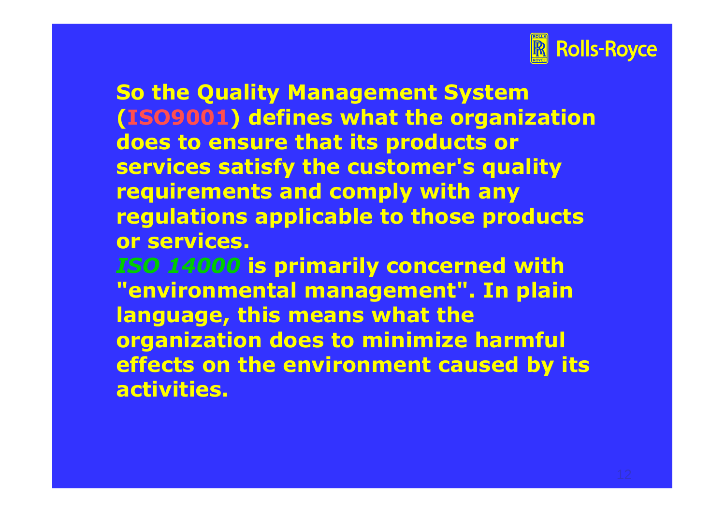

**So the Quality Management System (ISO9001) defines what the organization does to ensure that its products or services satisfy the customer's quality requirements and comply with any regulations applicable to those products or services.**

*ISO 14000* **is primarily concerned with "environmental management". In plain language, this means what the organization does to minimize harmful effects on the environment caused by its activities.**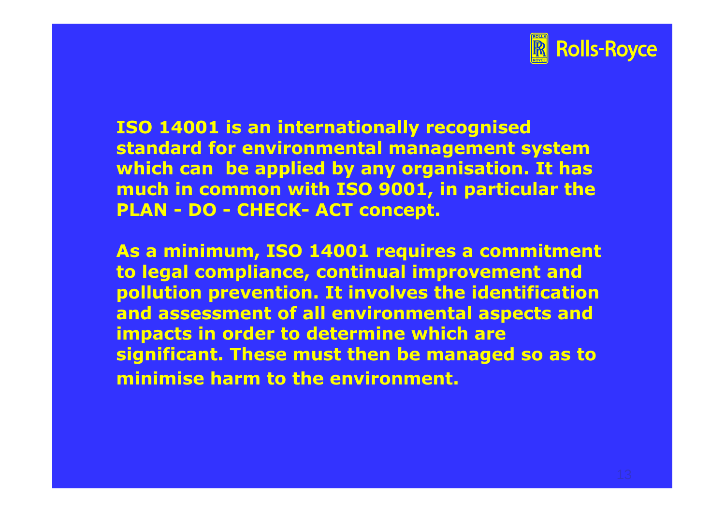

**ISO 14001 is an internationally recognised standard for environmental management system which can be applied by any organisation. It has much in common with ISO 9001, in particular the PLAN - DO - CHECK- ACT concept.**

**As a minimum, ISO 14001 requires a commitment to legal compliance, continual improvement and pollution prevention. It involves the identification and assessment of all environmental aspects and impacts in order to determine which are significant. These must then be managed so as to minimise harm to the environment.**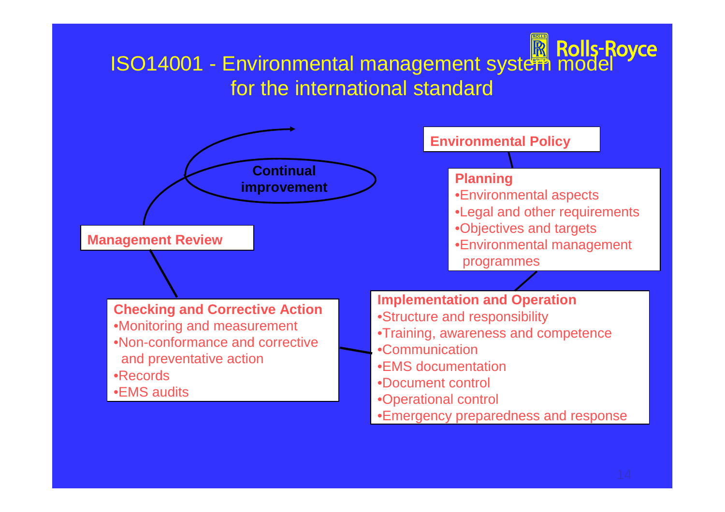# ISO14001 - Environmental management system model for the international standard

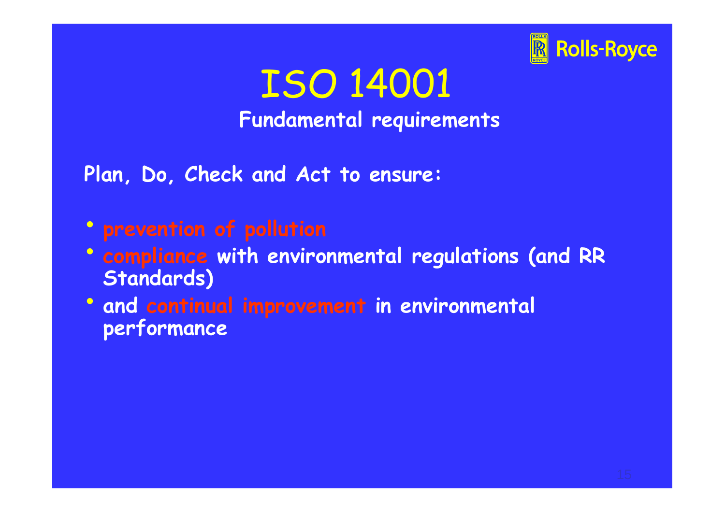

ISO 14001 **Fundamental requirements**

**Plan, Do, Check and Act to ensure:**

- **prevention of pollution**
- **compliance with environmental regulations (and RR Standards)**
- **and continual improvement in environmental performance**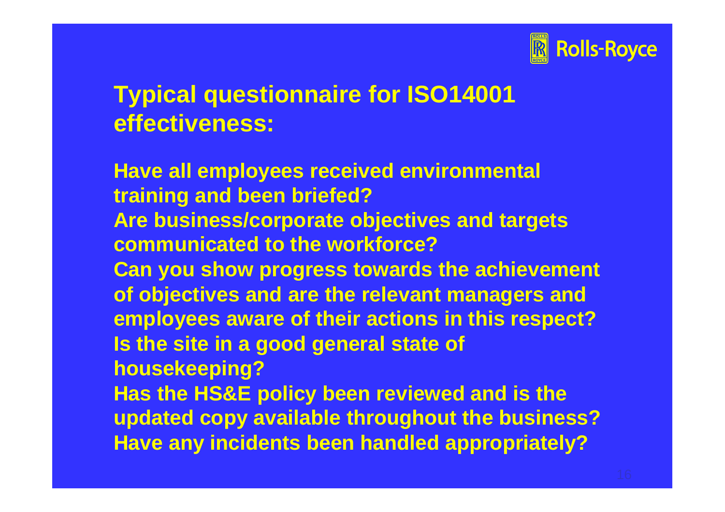

#### **Typical questionnaire for ISO14001 effectiveness:**

**Have all employees received environmental training and been briefed? Are business/corporate objectives and targets communicated to the workforce? Can you show progress towards the achievement of objectives and are the relevant managers and employees aware of their actions in this respect? Is the site in a good general state of housekeeping? Has the HS&E policy been reviewed and is the updated copy available throughout the business? Have any incidents been handled appropriately?**